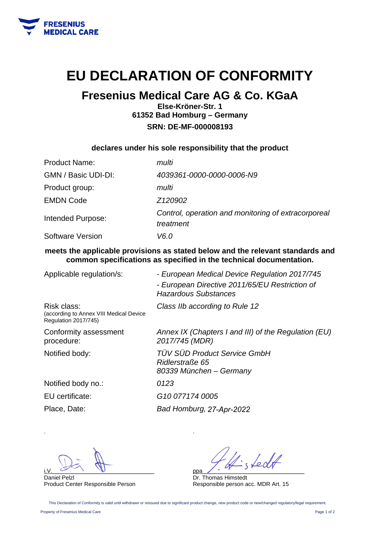

## **EU DECLARATION OF CONFORMITY**

### **Fresenius Medical Care AG & Co. KGaA**

**Else-Kröner-Str. 1 61352 Bad Homburg – Germany SRN: DE-MF-000008193** 

**declares under his sole responsibility that the product** 

| <b>Product Name:</b> | multi                                                            |
|----------------------|------------------------------------------------------------------|
| GMN / Basic UDI-DI:  | 4039361-0000-0000-0006-N9                                        |
| Product group:       | multi                                                            |
| <b>EMDN Code</b>     | Z120902                                                          |
| Intended Purpose:    | Control, operation and monitoring of extracorporeal<br>treatment |
| Software Version     | V6.0                                                             |

**meets the applicable provisions as stated below and the relevant standards and common specifications as specified in the technical documentation.** 

| Applicable regulation/s:                                                              | - European Medical Device Regulation 2017/745<br>- European Directive 2011/65/EU Restriction of<br><b>Hazardous Substances</b> |
|---------------------------------------------------------------------------------------|--------------------------------------------------------------------------------------------------------------------------------|
| Risk class:<br>(according to Annex VIII Medical Device<br><b>Regulation 2017/745)</b> | Class IIb according to Rule 12                                                                                                 |
| Conformity assessment<br>procedure:                                                   | Annex IX (Chapters I and III) of the Regulation (EU)<br>2017/745 (MDR)                                                         |
| Notified body:                                                                        | <b>TÜV SÜD Product Service GmbH</b><br>Ridlerstraße 65<br>80339 München – Germany                                              |
| Notified body no.:                                                                    | 0123                                                                                                                           |
| EU certificate:                                                                       | G <sub>10</sub> 077174 0005                                                                                                    |
| Place, Date:                                                                          | Bad Homburg, 27-Apr-2022                                                                                                       |

 $i.V.$   $\omega$   $\psi$ 

Daniel Pelzl Product Center Responsible Person

LedA ppa\_\_\_\_\_\_\_\_\_\_\_\_\_\_\_\_\_\_\_\_\_\_\_\_\_\_\_\_\_\_\_\_

Dr. Thomas Himstedt Responsible person acc. MDR Art. 15

This Declaration of Conformity is valid until withdrawn or reissued due to significant product change, new product code or new/changed regulatory/legal requirement.

.

Property of Fresenius Medical Care Page 1 of 2

.